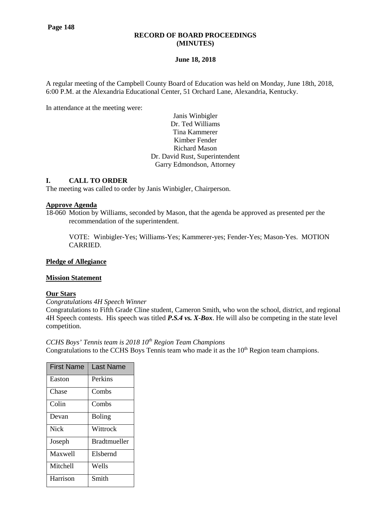## **RECORD OF BOARD PROCEEDINGS (MINUTES)**

## **June 18, 2018**

A regular meeting of the Campbell County Board of Education was held on Monday, June 18th, 2018, 6:00 P.M. at the Alexandria Educational Center, 51 Orchard Lane, Alexandria, Kentucky.

In attendance at the meeting were:

Janis Winbigler Dr. Ted Williams Tina Kammerer Kimber Fender Richard Mason Dr. David Rust, Superintendent Garry Edmondson, Attorney

## **I. CALL TO ORDER**

The meeting was called to order by Janis Winbigler, Chairperson.

## **Approve Agenda**

18-060 Motion by Williams, seconded by Mason, that the agenda be approved as presented per the recommendation of the superintendent.

VOTE: Winbigler-Yes; Williams-Yes; Kammerer-yes; Fender-Yes; Mason-Yes. MOTION CARRIED.

## **Pledge of Allegiance**

## **Mission Statement**

## **Our Stars**

## *Congratulations 4H Speech Winner*

Congratulations to Fifth Grade Cline student, Cameron Smith, who won the school, district, and regional 4H Speech contests. His speech was titled *P.S.4 vs. X-Box*. He will also be competing in the state level competition.

# *CCHS Boys' Tennis team is 2018 10th Region Team Champions*

Congratulations to the CCHS Boys Tennis team who made it as the  $10<sup>th</sup>$  Region team champions.

| <b>First Name</b> | Last Name           |
|-------------------|---------------------|
| Easton            | Perkins             |
| Chase             | Combs               |
| Colin             | Combs               |
| Devan             | <b>Boling</b>       |
| <b>Nick</b>       | Wittrock            |
| Joseph            | <b>Bradtmueller</b> |
| Maxwell           | Elsbernd            |
| Mitchell          | Wells               |
| Harrison          | Smith               |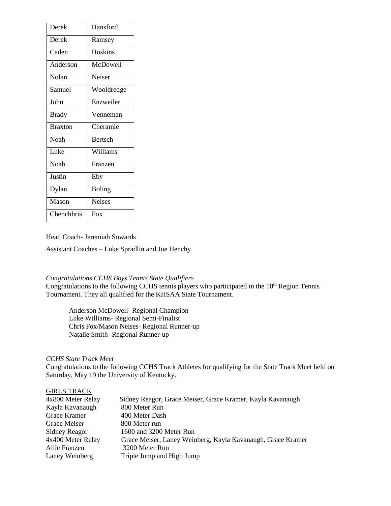| Derek          | Hansford       |
|----------------|----------------|
| Derek          | Ramsey         |
| Caden          | Hoskins        |
| Anderson       | McDowell       |
| Nolan          | Neiser         |
| Samuel         | Wooldredge     |
| John           | Enzweiler      |
| <b>Brady</b>   | Venneman       |
| <b>Braxton</b> | Cheramie       |
| Noah           | <b>Bertsch</b> |
| Luke           | Williams       |
| Noah           | Franzen        |
| Justin         | Eby            |
| Dylan          | <b>Boling</b>  |
| Mason          | <b>Neises</b>  |
| Chenchhris     | <b>Fox</b>     |

Head Coach- Jeremiah Sowards

Assistant Coaches – Luke Spradlin and Joe Henchy

## *[Congratulations CCHS Boys Tennis State Qualifiers](http://www.campbellcountyschools.org/News/54925)*

Congratulations to the following CCHS tennis players who participated in the  $10<sup>th</sup>$  Region Tennis Tournament. They all qualified for the KHSAA State Tournament.

Anderson McDowell- Regional Champion Luke Williams- Regional Semi-Finalist Chris Fox/Mason Neises- Regional Runner-up Natalie Smith- Regional Runner-up

# *CCHS State Track Meet*

Congratulations to the following CCHS Track Athletes for qualifying for the State Track Meet held on Saturday, May 19 the University of Kentucky.

## GIRLS TRACK

| 4x800 Meter Relay | Sidney Reagor, Grace Meiser, Grace Kramer, Kayla Kavanaugh  |
|-------------------|-------------------------------------------------------------|
| Kayla Kavanaugh   | 800 Meter Run                                               |
| Grace Kramer      | 400 Meter Dash                                              |
| Grace Meiser      | 800 Meter run                                               |
| Sidney Reagor     | 1600 and 3200 Meter Run                                     |
| 4x400 Meter Relay | Grace Meiser, Laney Weinberg, Kayla Kavanaugh, Grace Kramer |
| Allie Franzen     | 3200 Meter Run                                              |
| Laney Weinberg    | Triple Jump and High Jump                                   |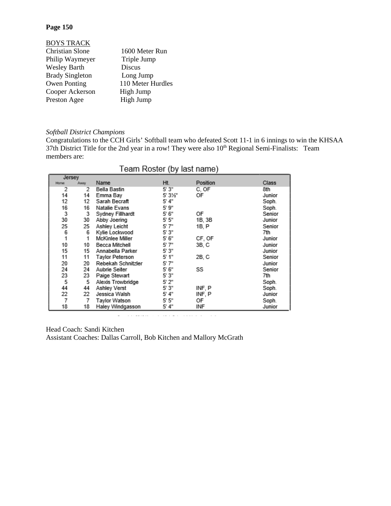# BOYS TRACK

| Christian Slone        | 1600 Meter Run    |
|------------------------|-------------------|
| Philip Waymeyer        | Triple Jump       |
| <b>Wesley Barth</b>    | Discus            |
| <b>Brady Singleton</b> | Long Jump         |
| Owen Ponting           | 110 Meter Hurdles |
| Cooper Ackerson        | High Jump         |
| Preston Agee           | High Jump         |
|                        |                   |

## *Softball District Champions*

Congratulations to the CCH Girls' Softball team who defeated Scott 11-1 in 6 innings to win the KHSAA 37th District Title for the 2nd year in a row! They were also 10<sup>th</sup> Regional Semi-Finalists: Team members are:

| Jersey      |      |                        |        |          |        |
|-------------|------|------------------------|--------|----------|--------|
| <b>Home</b> | Away | Name                   | Ht.    | Position | Class  |
| 2           | 2    | Bella Bastin           | 5'3"   | C. OF    | 8th    |
| 14          | 14   | Emma Bay               | 5' 3½" | OF       | Junior |
| 12          | 12   | Sarah Becraft          | 5' 4"  |          | Soph.  |
| 16          | 16   | Natalie Evans          | 5' 9"  |          | Soph.  |
| 3           | 3    | Sydney Fillhardt       | 5' 6"  | OF       | Senior |
| 30          | 30   | Abby Joering           | 5' 5"  | 1B, 3B   | Junior |
| 25          | 25   | Ashley Leicht          | 5' 7"  | 1B, P    | Senior |
| 6           | 6    | Kylie Lockwood         | 5' 3"  |          | 7th    |
| 1           |      | McKinlee Miller        | 5' 6"  | CF, OF   | Junior |
| 10          | 10   | Becca Mitchell         | 5'7"   | 3B, C    | Junior |
| 15          | 15   | Annabella Parker       | 5' 3"  |          | Junior |
| 11          | 11   | <b>Taylor Peterson</b> | 5' 1"  | 2B, C    | Senior |
| 20          | 20   | Rebekah Schnitzler     | 5' 7"  |          | Junior |
| 24          | 24   | Aubrie Seiter          | 5' 6"  | SS       | Senior |
| 23          | 23   | Paige Stewart          | 5' 3"  |          | 7th    |
| 5           | 5    | Alexis Trowbridge      | 5'2"   |          | Soph.  |
| 44          | 44   | Ashley Verst           | 5' 3"  | INF, P   | Soph.  |
| 22          | 22   | Jessica Walsh          | 5' 4"  | INF, P   | Junior |
| 7           | 7    | Taylor Watson          | 5'5"   | OF       | Soph.  |
| 18          | 18   | Haley Windgasson       | 5' 4"  | INF      | Junior |

. The constraints of the contract of the contract of the contract  $\mathcal{L}_\text{c}$ 

# Team Roster (by last name)

Head Coach: Sandi Kitchen Assistant Coaches: Dallas Carroll, Bob Kitchen and Mallory McGrath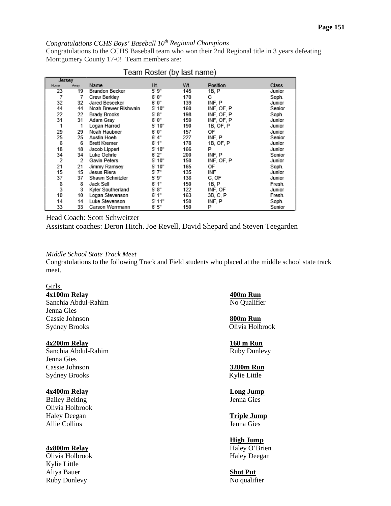# *Congratulations CCHS Boys' Baseball 10th Regional Champions*

Congratulations to the CCHS Baseball team who won their 2nd Regional title in 3 years defeating Montgomery County 17-0! Team members are:

|        |      |                       |        | . <i>.</i> |            |        |
|--------|------|-----------------------|--------|------------|------------|--------|
| Jersey |      |                       |        |            |            |        |
| Home   | Away | Name                  | Ht.    | Wt.        | Position   | Class  |
| 23     | 19   | <b>Brandon Becker</b> | 5'9''  | 145        | 1B. P      | Junior |
| 7      | 7    | Crew Berkley          | 6' 0"  | 170        | С          | Soph.  |
| 32     | 32   | Jared Besecker        | 6' 0"  | 139        | INF. P     | Junior |
| 44     | 44   | Noah Brewer Rishwain  | 5' 10" | 160        | INF, OF, P | Senior |
| 22     | 22   | <b>Brady Brooks</b>   | 5' 8"  | 198        | INF, OF, P | Soph.  |
| 31     | 31   | Adam Gray             | 6' 0"  | 159        | INF, OF, P | Junior |
| 1      | 1    | Logan Harrod          | 5' 10" | 190        | 1B, OF, P  | Junior |
| 29     | 29   | Noah Haubner          | 6' 0"  | 157        | OF         | Junior |
| 25     | 25   | Austin Hoeh           | 6' 4"  | 227        | INF, P     | Senior |
| 6      | 6    | <b>Brett Kremer</b>   | 6' 1"  | 178        | 1B, OF, P  | Junior |
| 18     | 18   | Jacob Lippert         | 5' 10" | 166        | P          | Junior |
| 34     | 34   | Luke Oehrle           | 6' 2"  | 200        | INF. P     | Senior |
| 2      | 2    | Gavin Peters          | 5' 10" | 150        | INF, OF, P | Junior |
| 21     | 21   | Jimmy Ramsey          | 5' 10" | 165        | 0F         | Soph.  |
| 15     | 15   | Jesus Riera           | 5' 7"  | 135        | INF        | Junior |
| 37     | 37   | Shawn Schnitzler      | 5' 9"  | 138        | C. OF      | Junior |
|        | 8    | Jack Sell             | 6' 1"  | 150        | 1B, P      | Fresh. |
| 8<br>3 | 3    | Kyler Southerland     | 5' 8"  | 122        | INF, OF    | Junior |
| 10     | 10   | Logan Stevenson       | 6' 1"  | 163        | 3B, C, P   | Fresh. |
| 14     | 14   | Luke Stevenson        | 5' 11" | 150        | INF. P     | Soph.  |
| 33     | 33   | Carson Werrmann       | 6' 5"  | 150        | P          | Senior |

## Team Roster (by last name)

## Head Coach: Scott Schweitzer

Assistant coaches: Deron Hitch. Joe Revell, David Shepard and Steven Teegarden

## *Middle School State Track Meet*

Congratulations to the following Track and Field students who placed at the middle school state track meet.

## Girls

**4x100m Relay**<br> **400m Run**<br> **400m Run**<br> **400m Run**<br> **400m Run**<br> **400m Run** Sanchia Abdul-Rahim Jenna Gies Cassie Johnson<br>
Sydney Brooks<br>
Sydney Brooks<br>
Olivia Holbrook Sydney Brooks

## **4x200m Relay 160 m Run**

Sanchia Abdul-Rahim Ruby Dunlevy Jenna Gies Cassie Johnson **3200m Run** Sydney Brooks Kylie Little

## **4x400m Relay Long Jump**

Bailey Beiting Jenna Gies Olivia Holbrook Haley Deegan **Triple Jump** Allie Collins Jenna Gies

Olivia Holbrook Haley Deegan Kylie Little Aliya Bauer **Shot Put** Ruby Dunlevy No qualifier

# **High Jump 4x800m Relay** Haley O'Brien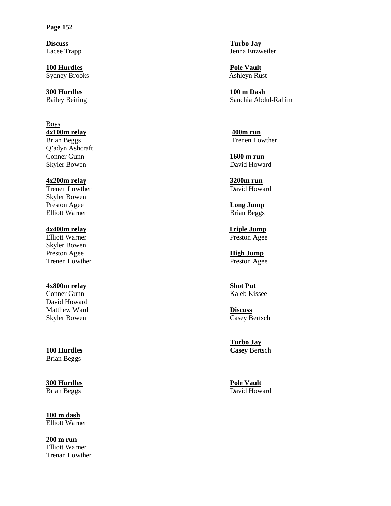**100 Hurdles**<br> **100 Hurdles**<br> **100 Hurdles**<br> **100 Hurdles**<br> **100 Hurdles**<br> **100 Hurdles** Sydney Brooks

**300 Hurdles 100 m Dash**

# Boys

Brian Beggs Q'adyn Ashcraft Conner Gunn **1600 m run** Skyler Bowen David Howard

Trenen Lowther Skyler Bowen Preston Agee **Long Jump** Elliott Warner Brian Beggs

Skyler Bowen Preston Agee **High Jump**<br>
Trenen Lowther **Preston Agee** Preston Agee Trenen Lowther

## **4x800m relay Shot Put** Shot Put

Conner Gunn Kaleb Kissee David Howard Matthew Ward<br>
Skyler Bowen<br>
Casey Bertsch<br>
Casey Bertsch Skyler Bowen

Brian Beggs

**100 m dash**  Elliott Warner

**200 m run**  Elliott Warner Trenan Lowther

**Discuss Turbo Jay** Lacee Trapp Jenna Enzweiler

Bailey Beiting Sanchia Abdul-Rahim

**4x100m relay**<br>Brian Beggs<br>Trenen Lowther

**4x200m relay**<br> **4x200m run**<br> **4x200m run**<br> **4x200m run**<br> **5200m run**<br> **5200m run**<br>
David Howard

**4x400m relay**<br>Elliott Warner **Triple Jump Pressure Pressure Pressure Pressure Pressure** Preston Agee

**Turbo Jay 100 Hurdles Casey** Bertsch

**300 Hurdles**<br>Brian Beggs<br>David Howa David Howard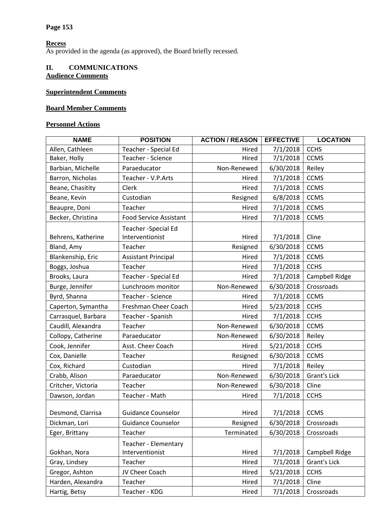# **Recess**

As provided in the agenda (as approved), the Board briefly recessed.

# **II. COMMUNICATIONS Audience Comments**

# **Superintendent Comments**

# **Board Member Comments**

# **Personnel Actions**

| <b>NAME</b>         | <b>POSITION</b>               | <b>ACTION / REASON</b> | <b>EFFECTIVE</b> | <b>LOCATION</b> |
|---------------------|-------------------------------|------------------------|------------------|-----------------|
| Allen, Cathleen     | Teacher - Special Ed          | Hired                  | 7/1/2018         | <b>CCHS</b>     |
| Baker, Holly        | Teacher - Science             | Hired                  | 7/1/2018         | <b>CCMS</b>     |
| Barbian, Michelle   | Paraeducator                  | Non-Renewed            | 6/30/2018        | Reiley          |
| Barron, Nicholas    | Teacher - V.P.Arts            | Hired                  | 7/1/2018         | <b>CCMS</b>     |
| Beane, Chasitity    | Clerk                         | Hired                  | 7/1/2018         | <b>CCMS</b>     |
| Beane, Kevin        | Custodian                     | Resigned               | 6/8/2018         | <b>CCMS</b>     |
| Beaupre, Doni       | Teacher                       | Hired                  | 7/1/2018         | <b>CCMS</b>     |
| Becker, Christina   | <b>Food Service Assistant</b> | Hired                  | 7/1/2018         | <b>CCMS</b>     |
|                     | Teacher - Special Ed          |                        |                  |                 |
| Behrens, Katherine  | Interventionist               | Hired                  | 7/1/2018         | Cline           |
| Bland, Amy          | Teacher                       | Resigned               | 6/30/2018        | <b>CCMS</b>     |
| Blankenship, Eric   | <b>Assistant Principal</b>    | Hired                  | 7/1/2018         | <b>CCMS</b>     |
| Boggs, Joshua       | Teacher                       | Hired                  | 7/1/2018         | <b>CCHS</b>     |
| Brooks, Laura       | Teacher - Special Ed          | Hired                  | 7/1/2018         | Campbell Ridge  |
| Burge, Jennifer     | Lunchroom monitor             | Non-Renewed            | 6/30/2018        | Crossroads      |
| Byrd, Shanna        | Teacher - Science             | Hired                  | 7/1/2018         | <b>CCMS</b>     |
| Caperton, Symantha  | Freshman Cheer Coach          | Hired                  | 5/23/2018        | <b>CCHS</b>     |
| Carrasquel, Barbara | Teacher - Spanish             | Hired                  | 7/1/2018         | <b>CCHS</b>     |
| Caudill, Alexandra  | Teacher                       | Non-Renewed            | 6/30/2018        | <b>CCMS</b>     |
| Collopy, Catherine  | Paraeducator                  | Non-Renewed            | 6/30/2018        | Reiley          |
| Cook, Jennifer      | Asst. Cheer Coach             | Hired                  | 5/21/2018        | <b>CCHS</b>     |
| Cox, Danielle       | Teacher                       | Resigned               | 6/30/2018        | <b>CCMS</b>     |
| Cox, Richard        | Custodian                     | Hired                  | 7/1/2018         | Reiley          |
| Crabb, Alison       | Paraeducator                  | Non-Renewed            | 6/30/2018        | Grant's Lick    |
| Critcher, Victoria  | Teacher                       | Non-Renewed            | 6/30/2018        | Cline           |
| Dawson, Jordan      | Teacher - Math                | Hired                  | 7/1/2018         | <b>CCHS</b>     |
|                     |                               |                        |                  |                 |
| Desmond, Clarrisa   | <b>Guidance Counselor</b>     | Hired                  | 7/1/2018         | <b>CCMS</b>     |
| Dickman, Lori       | <b>Guidance Counselor</b>     | Resigned               | 6/30/2018        | Crossroads      |
| Eger, Brittany      | Teacher                       | Terminated             | 6/30/2018        | Crossroads      |
|                     | Teacher - Elementary          |                        |                  |                 |
| Gokhan, Nora        | Interventionist               | Hired                  | 7/1/2018         | Campbell Ridge  |
| Gray, Lindsey       | Teacher                       | Hired                  | 7/1/2018         | Grant's Lick    |
| Gregor, Ashton      | JV Cheer Coach                | Hired                  | 5/21/2018        | <b>CCHS</b>     |
| Harden, Alexandra   | Teacher                       | Hired                  | 7/1/2018         | Cline           |
| Hartig, Betsy       | Teacher - KDG                 | Hired                  | 7/1/2018         | Crossroads      |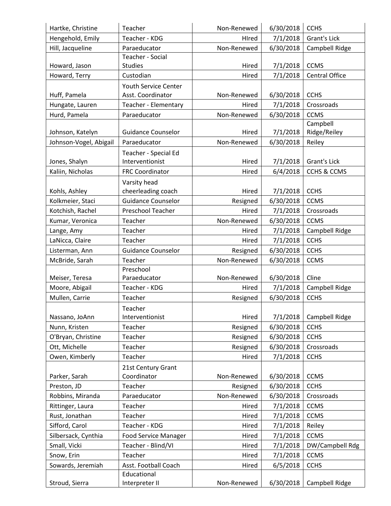| Hartke, Christine      | Teacher                     | Non-Renewed | 6/30/2018 | <b>CCHS</b>            |  |
|------------------------|-----------------------------|-------------|-----------|------------------------|--|
| Hengehold, Emily       | Teacher - KDG               | HIred       | 7/1/2018  | Grant's Lick           |  |
| Hill, Jacqueline       | Paraeducator                | Non-Renewed | 6/30/2018 | Campbell Ridge         |  |
|                        | Teacher - Social            |             |           |                        |  |
| Howard, Jason          | <b>Studies</b>              | Hired       | 7/1/2018  | <b>CCMS</b>            |  |
| Howard, Terry          | Custodian                   | Hired       | 7/1/2018  | <b>Central Office</b>  |  |
|                        | <b>Youth Service Center</b> |             |           |                        |  |
| Huff, Pamela           | Asst. Coordinator           | Non-Renewed | 6/30/2018 | <b>CCHS</b>            |  |
| Hungate, Lauren        | Teacher - Elementary        | Hired       | 7/1/2018  | Crossroads             |  |
| Hurd, Pamela           | Paraeducator                | Non-Renewed | 6/30/2018 | <b>CCMS</b>            |  |
|                        |                             |             |           | Campbell               |  |
| Johnson, Katelyn       | <b>Guidance Counselor</b>   | Hired       | 7/1/2018  | Ridge/Reiley           |  |
| Johnson-Vogel, Abigail | Paraeducator                | Non-Renewed | 6/30/2018 | Reiley                 |  |
|                        | Teacher - Special Ed        |             |           |                        |  |
| Jones, Shalyn          | Interventionist             | Hired       | 7/1/2018  | Grant's Lick           |  |
| Kaliin, Nicholas       | <b>FRC Coordinator</b>      | Hired       | 6/4/2018  | <b>CCHS &amp; CCMS</b> |  |
|                        | Varsity head                |             |           |                        |  |
| Kohls, Ashley          | cheerleading coach          | Hired       | 7/1/2018  | <b>CCHS</b>            |  |
| Kolkmeier, Staci       | <b>Guidance Counselor</b>   | Resigned    | 6/30/2018 | <b>CCMS</b>            |  |
| Kotchish, Rachel       | <b>Preschool Teacher</b>    | Hired       | 7/1/2018  | Crossroads             |  |
| Kumar, Veronica        | Teacher                     | Non-Renewed | 6/30/2018 | <b>CCMS</b>            |  |
| Lange, Amy             | Teacher                     | Hired       | 7/1/2018  | Campbell Ridge         |  |
| LaNicca, Claire        | Teacher                     | Hired       | 7/1/2018  | <b>CCHS</b>            |  |
| Listerman, Ann         | <b>Guidance Counselor</b>   | Resigned    | 6/30/2018 | <b>CCHS</b>            |  |
| McBride, Sarah         | Teacher                     | Non-Renewed | 6/30/2018 | <b>CCMS</b>            |  |
|                        | Preschool                   |             |           |                        |  |
| Meiser, Teresa         | Paraeducator                | Non-Renewed | 6/30/2018 | Cline                  |  |
| Moore, Abigail         | Teacher - KDG               | Hired       | 7/1/2018  | Campbell Ridge         |  |
| Mullen, Carrie         | Teacher                     | Resigned    | 6/30/2018 | <b>CCHS</b>            |  |
|                        | Teacher                     |             |           |                        |  |
| Nassano, JoAnn         | Interventionist             | Hired       | 7/1/2018  | Campbell Ridge         |  |
| Nunn, Kristen          | Teacher                     | Resigned    | 6/30/2018 | <b>CCHS</b>            |  |
| O'Bryan, Christine     | Teacher                     | Resigned    | 6/30/2018 | <b>CCHS</b>            |  |
| Ott, Michelle          | Teacher                     | Resigned    | 6/30/2018 | Crossroads             |  |
| Owen, Kimberly         | Teacher                     | Hired       | 7/1/2018  | <b>CCHS</b>            |  |
|                        | 21st Century Grant          |             |           |                        |  |
| Parker, Sarah          | Coordinator                 | Non-Renewed | 6/30/2018 | <b>CCMS</b>            |  |
| Preston, JD            | Teacher                     | Resigned    | 6/30/2018 | <b>CCHS</b>            |  |
| Robbins, Miranda       | Paraeducator                | Non-Renewed | 6/30/2018 | Crossroads             |  |
| Rittinger, Laura       | Teacher                     | Hired       | 7/1/2018  | <b>CCMS</b>            |  |
| Rust, Jonathan         | Teacher                     | Hired       | 7/1/2018  | <b>CCMS</b>            |  |
| Sifford, Carol         | Teacher - KDG               | Hired       | 7/1/2018  | Reiley                 |  |
| Silbersack, Cynthia    | <b>Food Service Manager</b> | Hired       | 7/1/2018  | <b>CCMS</b>            |  |
| Small, Vicki           | Teacher - Blind/VI          | Hired       | 7/1/2018  | DW/Campbell Rdg        |  |
| Snow, Erin             | Teacher                     | Hired       | 7/1/2018  | <b>CCMS</b>            |  |
| Sowards, Jeremiah      | Asst. Football Coach        | Hired       | 6/5/2018  | <b>CCHS</b>            |  |
|                        | Educational                 |             |           |                        |  |
| Stroud, Sierra         | Interpreter II              | Non-Renewed | 6/30/2018 | Campbell Ridge         |  |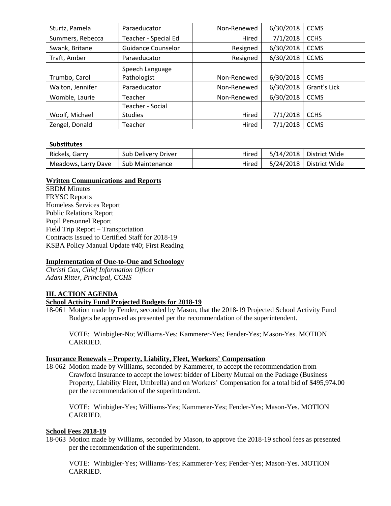| Sturtz, Pamela               | Paraeducator         | Non-Renewed | 6/30/2018 | <b>CCMS</b>  |
|------------------------------|----------------------|-------------|-----------|--------------|
| Summers, Rebecca             | Teacher - Special Ed | Hired       | 7/1/2018  | <b>CCHS</b>  |
| Swank, Britane               | Guidance Counselor   | Resigned    | 6/30/2018 | <b>CCMS</b>  |
| Traft, Amber                 | Paraeducator         | Resigned    | 6/30/2018 | <b>CCMS</b>  |
|                              | Speech Language      |             |           |              |
| Pathologist<br>Trumbo, Carol |                      | Non-Renewed | 6/30/2018 | <b>CCMS</b>  |
| Walton, Jennifer             | Paraeducator         | Non-Renewed | 6/30/2018 | Grant's Lick |
| Womble, Laurie               | Teacher              | Non-Renewed | 6/30/2018 | <b>CCMS</b>  |
|                              | Teacher - Social     |             |           |              |
| Woolf, Michael               | <b>Studies</b>       | Hired       | 7/1/2018  | <b>CCHS</b>  |
| Zengel, Donald               | Teacher              | Hired       | 7/1/2018  | <b>CCMS</b>  |

## **Substitutes**

| Rickels, Garry      | <b>Sub Delivery Driver</b> | Hired | 5/14/2018   District Wide |
|---------------------|----------------------------|-------|---------------------------|
| Meadows, Larry Dave | Sub Maintenance            | Hired | 5/24/2018   District Wide |

# **Written Communications and Reports**

SBDM Minutes FRYSC Reports Homeless Services Report Public Relations Report Pupil Personnel Report Field Trip Report – Transportation Contracts Issued to Certified Staff for 2018-19 KSBA Policy Manual Update #40; First Reading

## **Implementation of One-to-One and Schoology**

*Christi Cox, Chief Information Officer Adam Ritter, Principal, CCHS*

## **III. ACTION AGENDA**

## **School Activity Fund Projected Budgets for 2018-19**

18-061 Motion made by Fender, seconded by Mason, that the 2018-19 Projected School Activity Fund Budgets be approved as presented per the recommendation of the superintendent.

VOTE: Winbigler-No; Williams-Yes; Kammerer-Yes; Fender-Yes; Mason-Yes. MOTION CARRIED.

## **Insurance Renewals – Property, Liability, Fleet, Workers' Compensation**

18-062 Motion made by Williams, seconded by Kammerer, to accept the recommendation from Crawford Insurance to accept the lowest bidder of Liberty Mutual on the Package (Business Property, Liability Fleet, Umbrella) and on Workers' Compensation for a total bid of \$495,974.00 per the recommendation of the superintendent.

VOTE: Winbigler-Yes; Williams-Yes; Kammerer-Yes; Fender-Yes; Mason-Yes. MOTION CARRIED.

## **School Fees 2018-19**

18-063 Motion made by Williams, seconded by Mason, to approve the 2018-19 school fees as presented per the recommendation of the superintendent.

VOTE: Winbigler-Yes; Williams-Yes; Kammerer-Yes; Fender-Yes; Mason-Yes. MOTION CARRIED.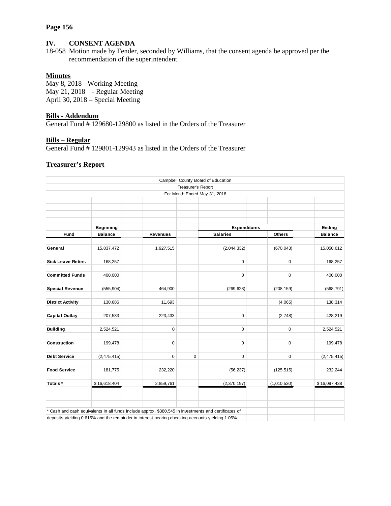## **IV. CONSENT AGENDA**

18-058 Motion made by Fender, seconded by Williams, that the consent agenda be approved per the recommendation of the superintendent.

# **Minutes**

May 8, 2018 - Working Meeting May 21, 2018 - Regular Meeting April 30, 2018 – Special Meeting

## **Bills - Addendum**

General Fund # 129680-129800 as listed in the Orders of the Treasurer

## **Bills – Regular**

General Fund  $\#$  129801-129943 as listed in the Orders of the Treasurer

## **Treasurer's Report**

|                          |                  |                                                                                                       |                              | Campbell County Board of Education |               |                |
|--------------------------|------------------|-------------------------------------------------------------------------------------------------------|------------------------------|------------------------------------|---------------|----------------|
|                          |                  |                                                                                                       | Treasurer's Report           |                                    |               |                |
|                          |                  |                                                                                                       | For Month Ended May 31, 2018 |                                    |               |                |
|                          |                  |                                                                                                       |                              |                                    |               |                |
|                          |                  |                                                                                                       |                              |                                    |               |                |
|                          |                  |                                                                                                       |                              |                                    |               |                |
|                          |                  |                                                                                                       |                              |                                    |               |                |
|                          | <b>Beginning</b> |                                                                                                       |                              | <b>Expenditures</b>                |               | Ending         |
| Fund                     | <b>Balance</b>   | <b>Revenues</b>                                                                                       |                              | <b>Salaries</b>                    | <b>Others</b> | <b>Balance</b> |
| General                  | 15,837,472       | 1,927,515                                                                                             |                              | (2,044,332)                        | (670, 043)    | 15,050,612     |
| Sick Leave Retire.       | 168,257          |                                                                                                       |                              | $\mathbf 0$                        | $\mathbf 0$   | 168,257        |
| <b>Committed Funds</b>   | 400,000          |                                                                                                       |                              | $\mathbf 0$                        | $\mathbf 0$   | 400,000        |
| <b>Special Revenue</b>   | (555, 904)       | 464,900                                                                                               |                              | (269, 628)                         | (208, 159)    | (568, 791)     |
| <b>District Activity</b> | 130,686          | 11,693                                                                                                |                              |                                    | (4,065)       | 138,314        |
| <b>Capital Outlay</b>    | 207,533          | 223,433                                                                                               |                              | $\mathbf 0$                        | (2,748)       | 428,219        |
| <b>Building</b>          | 2,524,521        | $\pmb{0}$                                                                                             |                              | $\pmb{0}$                          | $\pmb{0}$     | 2,524,521      |
| Construction             | 199,478          | 0                                                                                                     |                              | $\mathbf 0$                        | $\mathbf 0$   | 199,478        |
| <b>Debt Service</b>      | (2,475,415)      | 0                                                                                                     | $\mathbf 0$                  | $\mathbf 0$                        | $\mathbf 0$   | (2,475,415)    |
| <b>Food Service</b>      | 181,775          | 232,220                                                                                               |                              | (56, 237)                          | (125, 515)    | 232,244        |
| Totals*                  | \$16,618,404     | 2,859,761                                                                                             |                              | (2,370,197)                        | (1,010,530)   | \$16,097,438   |
|                          |                  |                                                                                                       |                              |                                    |               |                |
|                          |                  | * Cash and cash equivalents in all funds include approx. \$380,545 in investments and certificates of |                              |                                    |               |                |
|                          |                  | deposits yielding 0.615% and the remainder in interest-bearing checking accounts yielding 1.05%.      |                              |                                    |               |                |

deposits yielding 0.615% and the remainder in interest-bearing checking accounts yielding 1.05%.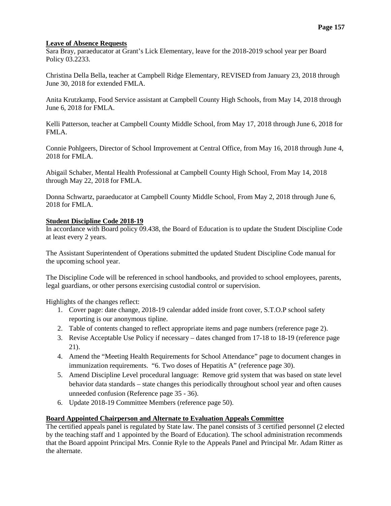# **Leave of Absence Requests**

Sara Bray, paraeducator at Grant's Lick Elementary, leave for the 2018-2019 school year per Board Policy 03.2233.

Christina Della Bella, teacher at Campbell Ridge Elementary, REVISED from January 23, 2018 through June 30, 2018 for extended FMLA.

Anita Krutzkamp, Food Service assistant at Campbell County High Schools, from May 14, 2018 through June 6, 2018 for FMLA.

Kelli Patterson, teacher at Campbell County Middle School, from May 17, 2018 through June 6, 2018 for FMLA.

Connie Pohlgeers, Director of School Improvement at Central Office, from May 16, 2018 through June 4, 2018 for FMLA.

Abigail Schaber, Mental Health Professional at Campbell County High School, From May 14, 2018 through May 22, 2018 for FMLA.

Donna Schwartz, paraeducator at Campbell County Middle School, From May 2, 2018 through June 6, 2018 for FMLA.

## **Student Discipline Code 2018-19**

In accordance with Board policy 09.438, the Board of Education is to update the Student Discipline Code at least every 2 years.

The Assistant Superintendent of Operations submitted the updated Student Discipline Code manual for the upcoming school year.

The Discipline Code will be referenced in school handbooks, and provided to school employees, parents, legal guardians, or other persons exercising custodial control or supervision.

Highlights of the changes reflect:

- 1. Cover page: date change, 2018-19 calendar added inside front cover, S.T.O.P school safety reporting is our anonymous tipline.
- 2. Table of contents changed to reflect appropriate items and page numbers (reference page 2).
- 3. Revise Acceptable Use Policy if necessary dates changed from 17-18 to 18-19 (reference page 21).
- 4. Amend the "Meeting Health Requirements for School Attendance" page to document changes in immunization requirements. "6. Two doses of Hepatitis A" (reference page 30).
- 5. Amend Discipline Level procedural language: Remove grid system that was based on state level behavior data standards – state changes this periodically throughout school year and often causes unneeded confusion (Reference page 35 - 36).
- 6. Update 2018-19 Committee Members (reference page 50).

# **Board Appointed Chairperson and Alternate to Evaluation Appeals Committee**

The certified appeals panel is regulated by State law. The panel consists of 3 certified personnel (2 elected by the teaching staff and 1 appointed by the Board of Education). The school administration recommends that the Board appoint Principal Mrs. Connie Ryle to the Appeals Panel and Principal Mr. Adam Ritter as the alternate.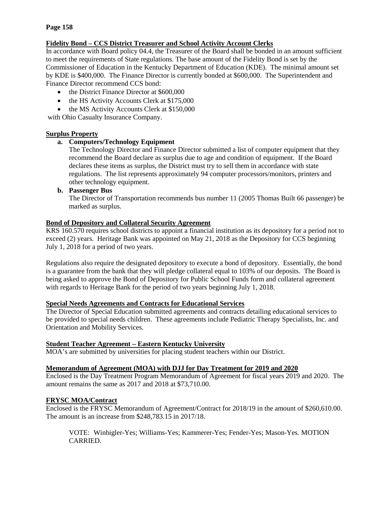## **Fidelity Bond – CCS District Treasurer and School Activity Account Clerks**

In accordance with Board policy 04.4, the Treasurer of the Board shall be bonded in an amount sufficient to meet the requirements of State regulations. The base amount of the Fidelity Bond is set by the Commissioner of Education in the Kentucky Department of Education (KDE). The minimal amount set by KDE is \$400,000. The Finance Director is currently bonded at \$600,000. The Superintendent and Finance Director recommend CCS bond:

- the District Finance Director at \$600,000
- the HS Activity Accounts Clerk at \$175,000
- the MS Activity Accounts Clerk at \$150,000

with Ohio Casualty Insurance Company.

## **Surplus Property**

## **a. Computers/Technology Equipment**

The Technology Director and Finance Director submitted a list of computer equipment that they recommend the Board declare as surplus due to age and condition of equipment. If the Board declares these items as surplus, the District must try to sell them in accordance with state regulations. The list represents approximately 94 computer processors/monitors, printers and other technology equipment.

## **b. Passenger Bus**

The Director of Transportation recommends bus number 11 (2005 Thomas Built 66 passenger) be marked as surplus.

## **Bond of Depository and Collateral Security Agreement**

KRS 160.570 requires school districts to appoint a financial institution as its depository for a period not to exceed (2) years. Heritage Bank was appointed on May 21, 2018 as the Depository for CCS beginning July 1, 2018 for a period of two years.

Regulations also require the designated depository to execute a bond of depository. Essentially, the bond is a guarantee from the bank that they will pledge collateral equal to 103% of our deposits. The Board is being asked to approve the Bond of Depository for Public School Funds form and collateral agreement with regards to Heritage Bank for the period of two years beginning July 1, 2018.

## **Special Needs Agreements and Contracts for Educational Services**

The Director of Special Education submitted agreements and contracts detailing educational services to be provided to special needs children. These agreements include Pediatric Therapy Specialists, Inc. and Orientation and Mobility Services.

## **Student Teacher Agreement – Eastern Kentucky University**

MOA's are submitted by universities for placing student teachers within our District.

## **Memorandum of Agreement (MOA) with DJJ for Day Treatment for 2019 and 2020**

Enclosed is the Day Treatment Program Memorandum of Agreement for fiscal years 2019 and 2020. The amount remains the same as 2017 and 2018 at \$73,710.00.

## **FRYSC MOA/Contract**

Enclosed is the FRYSC Memorandum of Agreement/Contract for 2018/19 in the amount of \$260,610.00. The amount is an increase from \$248,783.15 in 2017/18.

VOTE: Winbigler-Yes; Williams-Yes; Kammerer-Yes; Fender-Yes; Mason-Yes. MOTION CARRIED.